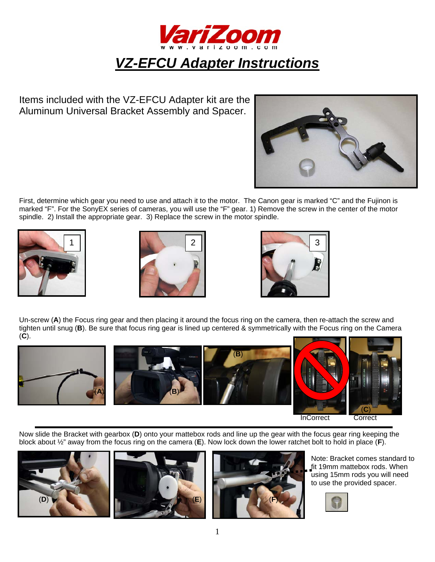

# *VZ-EFCU Adapter Instructions*

Items included with the VZ-EFCU Adapter kit are the Aluminum Universal Bracket Assembly and Spacer.



First, determine which gear you need to use and attach it to the motor. The Canon gear is marked "C" and the Fujinon is marked "F". For the SonyEX series of cameras, you will use the "F" gear. 1) Remove the screw in the center of the motor spindle. 2) Install the appropriate gear. 3) Replace the screw in the motor spindle.







Un-screw (**A**) the Focus ring gear and then placing it around the focus ring on the camera, then re-attach the screw and tighten until snug (**B**). Be sure that focus ring gear is lined up centered & symmetrically with the Focus ring on the Camera (**C**).



**InCorrect Correct Correct Correct Correct Correct Correct Correct Correct Correct Correct Correct Correct Correct Correct Correct Correct Correct Correct Correct Correct Correct Correct Correct Correct Correct Correct Cor** 

Now slide the Bracket with gearbox (**D**) onto your mattebox rods and line up the gear with the focus gear ring keeping the block about ½" away from the focus ring on the camera (**E**). Now lock down the lower ratchet bolt to hold in place (**F**).







Note: Bracket comes standard to fit 19mm mattebox rods. When using 15mm rods you will need to use the provided spacer.